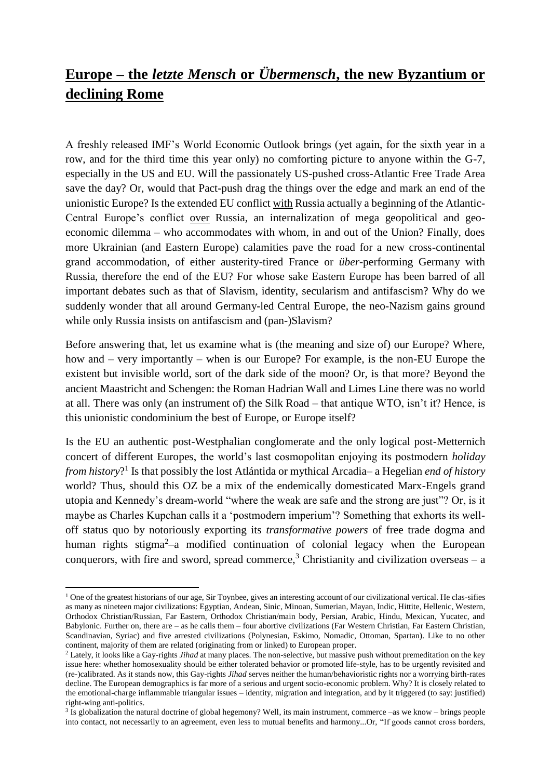## **Europe – the** *letzte Mensch* **or** *Übermensch***, the new Byzantium or declining Rome**

A freshly released IMF's World Economic Outlook brings (yet again, for the sixth year in a row, and for the third time this year only) no comforting picture to anyone within the G-7, especially in the US and EU. Will the passionately US-pushed cross-Atlantic Free Trade Area save the day? Or, would that Pact-push drag the things over the edge and mark an end of the unionistic Europe? Is the extended EU conflict with Russia actually a beginning of the Atlantic-Central Europe's conflict over Russia, an internalization of mega geopolitical and geoeconomic dilemma – who accommodates with whom, in and out of the Union? Finally, does more Ukrainian (and Eastern Europe) calamities pave the road for a new cross-continental grand accommodation, of either austerity-tired France or *über-*performing Germany with Russia, therefore the end of the EU? For whose sake Eastern Europe has been barred of all important debates such as that of Slavism, identity, secularism and antifascism? Why do we suddenly wonder that all around Germany-led Central Europe, the neo-Nazism gains ground while only Russia insists on antifascism and (pan-)Slavism?

Before answering that, let us examine what is (the meaning and size of) our Europe? Where, how and – very importantly – when is our Europe? For example, is the non-EU Europe the existent but invisible world, sort of the dark side of the moon? Or, is that more? Beyond the ancient Maastricht and Schengen: the Roman Hadrian Wall and Limes Line there was no world at all. There was only (an instrument of) the Silk Road – that antique WTO, isn't it? Hence, is this unionistic condominium the best of Europe, or Europe itself?

Is the EU an authentic post-Westphalian conglomerate and the only logical post-Metternich concert of different Europes, the world's last cosmopolitan enjoying its postmodern *holiday from history*? 1 Is that possibly the lost Atlántida or mythical Arcadia– a Hegelian *end of history* world? Thus, should this OZ be a mix of the endemically domesticated Marx-Engels grand utopia and Kennedy's dream-world "where the weak are safe and the strong are just"? Or, is it maybe as Charles Kupchan calls it a 'postmodern imperium'? Something that exhorts its welloff status quo by notoriously exporting its *transformative powers* of free trade dogma and human rights stigma<sup>2-</sup>a modified continuation of colonial legacy when the European conquerors, with fire and sword, spread commerce,<sup>3</sup> Christianity and civilization overseas – a

**.** 

 $1$  One of the greatest historians of our age, Sir Toynbee, gives an interesting account of our civilizational vertical. He clas-sifies as many as nineteen major civilizations: Egyptian, Andean, Sinic, Minoan, Sumerian, Mayan, Indic, Hittite, Hellenic, Western, Orthodox Christian/Russian, Far Eastern, Orthodox Christian/main body, Persian, Arabic, Hindu, Mexican, Yucatec, and Babylonic. Further on, there are – as he calls them – four abortive civilizations (Far Western Christian, Far Eastern Christian, Scandinavian, Syriac) and five arrested civilizations (Polynesian, Eskimo, Nomadic, Ottoman, Spartan). Like to no other continent, majority of them are related (originating from or linked) to European proper.

<sup>2</sup> Lately, it looks like a Gay-rights *Jihad* at many places. The non-selective, but massive push without premeditation on the key issue here: whether homosexuality should be either tolerated behavior or promoted life-style, has to be urgently revisited and (re-)calibrated. As it stands now, this Gay-rights *Jihad* serves neither the human/behavioristic rights nor a worrying birth-rates decline. The European demographics is far more of a serious and urgent socio-economic problem. Why? It is closely related to the emotional-charge inflammable triangular issues – identity, migration and integration, and by it triggered (to say: justified) right-wing anti-politics.

<sup>&</sup>lt;sup>3</sup> Is globalization the natural doctrine of global hegemony? Well, its main instrument, commerce –as we know – brings people into contact, not necessarily to an agreement, even less to mutual benefits and harmony...Or, "If goods cannot cross borders,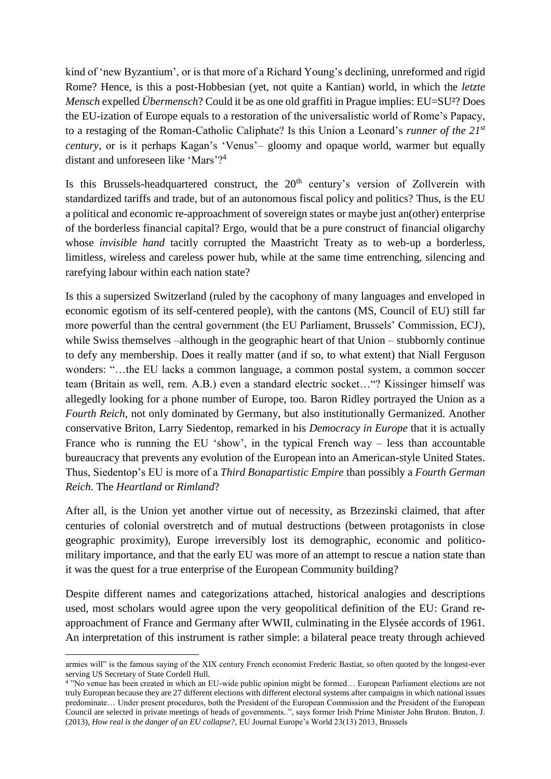kind of 'new Byzantium', or is that more of a Richard Young's declining, unreformed and rigid Rome? Hence, is this a post-Hobbesian (yet, not quite a Kantian) world, in which the *letzte Mensch* expelled *Übermensch*? Could it be as one old graffiti in Prague implies: EU=SU<sup>2</sup>? Does the EU-ization of Europe equals to a restoration of the universalistic world of Rome's Papacy, to a restaging of the Roman-Catholic Caliphate? Is this Union a Leonard's *runner of the 21st century*, or is it perhaps Kagan's 'Venus'– gloomy and opaque world, warmer but equally distant and unforeseen like 'Mars'?<sup>4</sup>

Is this Brussels-headquartered construct, the  $20<sup>th</sup>$  century's version of Zollverein with standardized tariffs and trade, but of an autonomous fiscal policy and politics? Thus, is the EU a political and economic re-approachment of sovereign states or maybe just an(other) enterprise of the borderless financial capital? Ergo, would that be a pure construct of financial oligarchy whose *invisible hand* tacitly corrupted the Maastricht Treaty as to web-up a borderless, limitless, wireless and careless power hub, while at the same time entrenching, silencing and rarefying labour within each nation state?

Is this a supersized Switzerland (ruled by the cacophony of many languages and enveloped in economic egotism of its self-centered people), with the cantons (MS, Council of EU) still far more powerful than the central government (the EU Parliament, Brussels' Commission, ECJ), while Swiss themselves –although in the geographic heart of that Union – stubbornly continue to defy any membership. Does it really matter (and if so, to what extent) that Niall Ferguson wonders: "…the EU lacks a common language, a common postal system, a common soccer team (Britain as well, rem. A.B.) even a standard electric socket…"? Kissinger himself was allegedly looking for a phone number of Europe, too. Baron Ridley portrayed the Union as a *Fourth Reich*, not only dominated by Germany, but also institutionally Germanized. Another conservative Briton, Larry Siedentop, remarked in his *Democracy in Europe* that it is actually France who is running the EU 'show', in the typical French way – less than accountable bureaucracy that prevents any evolution of the European into an American-style United States. Thus, Siedentop's EU is more of a *Third Bonapartistic Empire* than possibly a *Fourth German Reich*. The *Heartland* or *Rimland*?

After all, is the Union yet another virtue out of necessity, as Brzezinski claimed, that after centuries of colonial overstretch and of mutual destructions (between protagonists in close geographic proximity), Europe irreversibly lost its demographic, economic and politicomilitary importance, and that the early EU was more of an attempt to rescue a nation state than it was the quest for a true enterprise of the European Community building?

Despite different names and categorizations attached, historical analogies and descriptions used, most scholars would agree upon the very geopolitical definition of the EU: Grand reapproachment of France and Germany after WWII, culminating in the Elysée accords of 1961. An interpretation of this instrument is rather simple: a bilateral peace treaty through achieved

**<sup>.</sup>** armies will" is the famous saying of the XIX century French economist Frederic Bastiat, so often quoted by the longest-ever serving US Secretary of State Cordell Hull.

<sup>4</sup> "No venue has been created in which an EU-wide public opinion might be formed… European Parliament elections are not truly European because they are 27 different elections with different electoral systems after campaigns in which national issues predominate… Under present procedures, both the President of the European Commission and the President of the European Council are selected in private meetings of heads of governments..", says former Irish Prime Minister John Bruton. Bruton, J. (2013), *How real is the danger of an EU collapse?*, EU Journal Europe's World 23(13) 2013, Brussels